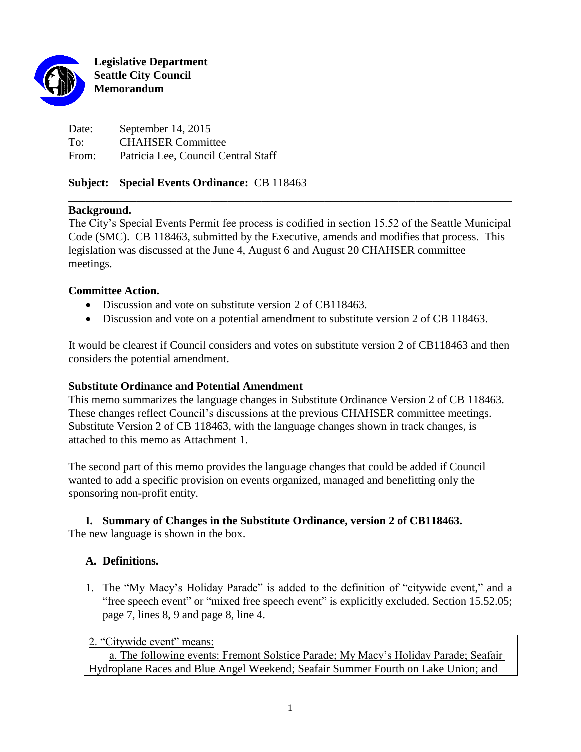

**Legislative Department Seattle City Council Memorandum**

Date: September 14, 2015 To: CHAHSER Committee From: Patricia Lee, Council Central Staff

### **Subject: Special Events Ordinance:** CB 118463

### **Background.**

The City's Special Events Permit fee process is codified in section 15.52 of the Seattle Municipal Code (SMC). CB 118463, submitted by the Executive, amends and modifies that process. This legislation was discussed at the June 4, August 6 and August 20 CHAHSER committee meetings.

\_\_\_\_\_\_\_\_\_\_\_\_\_\_\_\_\_\_\_\_\_\_\_\_\_\_\_\_\_\_\_\_\_\_\_\_\_\_\_\_\_\_\_\_\_\_\_\_\_\_\_\_\_\_\_\_\_\_\_\_\_\_\_\_\_\_\_\_\_\_\_\_\_\_\_\_\_\_

### **Committee Action.**

- Discussion and vote on substitute version 2 of CB118463.
- Discussion and vote on a potential amendment to substitute version 2 of CB 118463.

It would be clearest if Council considers and votes on substitute version 2 of CB118463 and then considers the potential amendment.

### **Substitute Ordinance and Potential Amendment**

This memo summarizes the language changes in Substitute Ordinance Version 2 of CB 118463. These changes reflect Council's discussions at the previous CHAHSER committee meetings. Substitute Version 2 of CB 118463, with the language changes shown in track changes, is attached to this memo as Attachment 1.

The second part of this memo provides the language changes that could be added if Council wanted to add a specific provision on events organized, managed and benefitting only the sponsoring non-profit entity.

# **I. Summary of Changes in the Substitute Ordinance, version 2 of CB118463.**

The new language is shown in the box.

# **A. Definitions.**

1. The "My Macy's Holiday Parade" is added to the definition of "citywide event," and a "free speech event" or "mixed free speech event" is explicitly excluded. Section 15.52.05; page 7, lines 8, 9 and page 8, line 4.

2. "Citywide event" means:

a. The following events: Fremont Solstice Parade; My Macy's Holiday Parade; Seafair Hydroplane Races and Blue Angel Weekend; Seafair Summer Fourth on Lake Union; and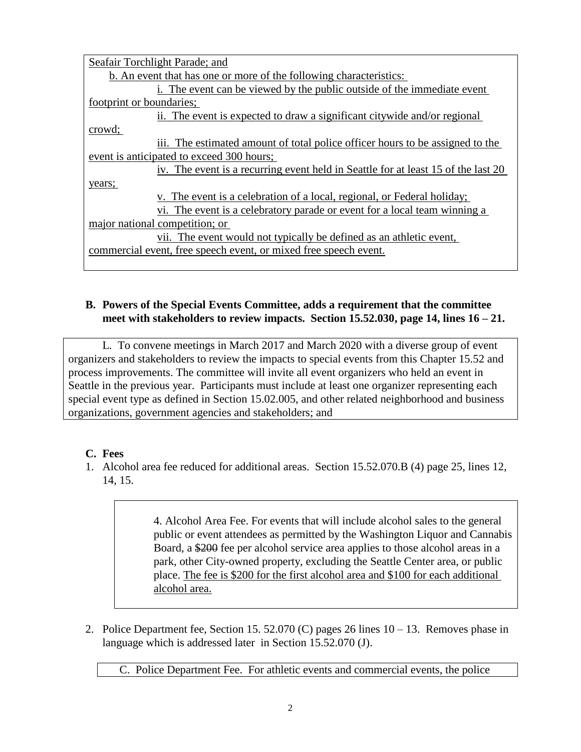| Seafair Torchlight Parade; and                                                    |
|-----------------------------------------------------------------------------------|
| b. An event that has one or more of the following characteristics:                |
| i. The event can be viewed by the public outside of the immediate event           |
| footprint or boundaries;                                                          |
| ii. The event is expected to draw a significant citywide and/or regional          |
| crowd;                                                                            |
| iii. The estimated amount of total police officer hours to be assigned to the     |
| event is anticipated to exceed 300 hours;                                         |
| iv. The event is a recurring event held in Seattle for at least 15 of the last 20 |
| years;                                                                            |
| v. The event is a celebration of a local, regional, or Federal holiday;           |
| vi. The event is a celebratory parade or event for a local team winning a         |
| major national competition; or                                                    |
| vii. The event would not typically be defined as an athletic event,               |
| commercial event, free speech event, or mixed free speech event.                  |
|                                                                                   |

### **B. Powers of the Special Events Committee, adds a requirement that the committee meet with stakeholders to review impacts. Section 15.52.030, page 14, lines 16 – 21.**

L. To convene meetings in March 2017 and March 2020 with a diverse group of event organizers and stakeholders to review the impacts to special events from this Chapter 15.52 and process improvements. The committee will invite all event organizers who held an event in Seattle in the previous year. Participants must include at least one organizer representing each special event type as defined in Section 15.02.005, and other related neighborhood and business organizations, government agencies and stakeholders; and

# **C. Fees**

1. Alcohol area fee reduced for additional areas. Section 15.52.070.B (4) page 25, lines 12, 14, 15.

> 4. Alcohol Area Fee. For events that will include alcohol sales to the general public or event attendees as permitted by the Washington Liquor and Cannabis Board, a \$200 fee per alcohol service area applies to those alcohol areas in a park, other City-owned property, excluding the Seattle Center area, or public place. The fee is \$200 for the first alcohol area and \$100 for each additional alcohol area.

2. Police Department fee, Section 15. 52.070 (C) pages 26 lines 10 – 13. Removes phase in language which is addressed later in Section 15.52.070 (J).

C. Police Department Fee. For athletic events and commercial events, the police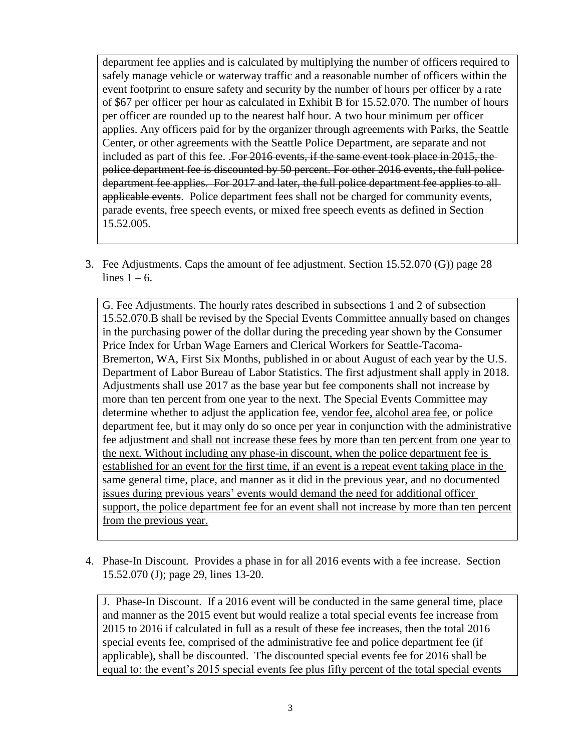department fee applies and is calculated by multiplying the number of officers required to safely manage vehicle or waterway traffic and a reasonable number of officers within the event footprint to ensure safety and security by the number of hours per officer by a rate of \$67 per officer per hour as calculated in Exhibit B for 15.52.070. The number of hours per officer are rounded up to the nearest half hour. A two hour minimum per officer applies. Any officers paid for by the organizer through agreements with Parks, the Seattle Center, or other agreements with the Seattle Police Department, are separate and not included as part of this fee. .For 2016 events, if the same event took place in 2015, the police department fee is discounted by 50 percent. For other 2016 events, the full police department fee applies. For 2017 and later, the full police department fee applies to allapplicable events. Police department fees shall not be charged for community events, parade events, free speech events, or mixed free speech events as defined in Section 15.52.005.

3. Fee Adjustments. Caps the amount of fee adjustment. Section 15.52.070 (G)) page 28 lines  $1 - 6$ .

G. Fee Adjustments. The hourly rates described in subsections 1 and 2 of subsection 15.52.070.B shall be revised by the Special Events Committee annually based on changes in the purchasing power of the dollar during the preceding year shown by the Consumer Price Index for Urban Wage Earners and Clerical Workers for Seattle-Tacoma-Bremerton, WA, First Six Months, published in or about August of each year by the U.S. Department of Labor Bureau of Labor Statistics. The first adjustment shall apply in 2018. Adjustments shall use 2017 as the base year but fee components shall not increase by more than ten percent from one year to the next. The Special Events Committee may determine whether to adjust the application fee, vendor fee, alcohol area fee, or police department fee, but it may only do so once per year in conjunction with the administrative fee adjustment and shall not increase these fees by more than ten percent from one year to the next. Without including any phase-in discount, when the police department fee is established for an event for the first time, if an event is a repeat event taking place in the same general time, place, and manner as it did in the previous year, and no documented issues during previous years' events would demand the need for additional officer support, the police department fee for an event shall not increase by more than ten percent from the previous year.

4. Phase-In Discount. Provides a phase in for all 2016 events with a fee increase. Section 15.52.070 (J); page 29, lines 13-20.

J. Phase-In Discount. If a 2016 event will be conducted in the same general time, place and manner as the 2015 event but would realize a total special events fee increase from 2015 to 2016 if calculated in full as a result of these fee increases, then the total 2016 special events fee, comprised of the administrative fee and police department fee (if applicable), shall be discounted. The discounted special events fee for 2016 shall be equal to: the event's 2015 special events fee plus fifty percent of the total special events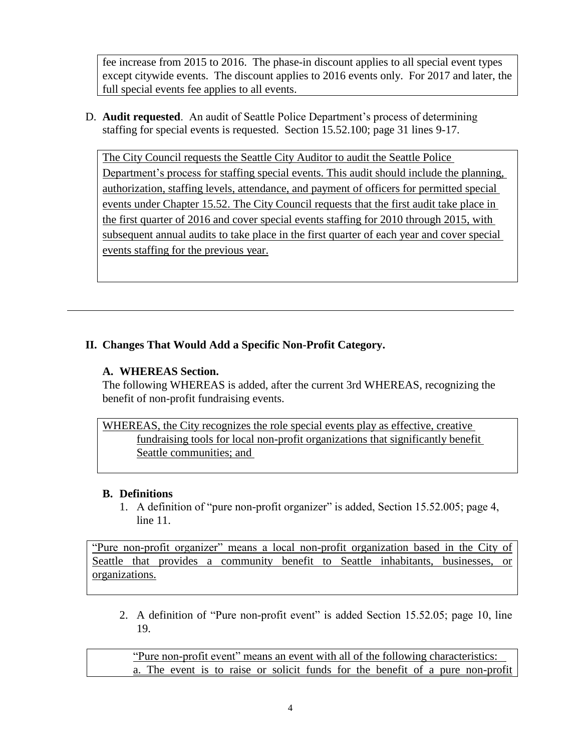fee increase from 2015 to 2016. The phase-in discount applies to all special event types except citywide events. The discount applies to 2016 events only. For 2017 and later, the full special events fee applies to all events.

D. **Audit requested**. An audit of Seattle Police Department's process of determining staffing for special events is requested. Section 15.52.100; page 31 lines 9-17.

The City Council requests the Seattle City Auditor to audit the Seattle Police Department's process for staffing special events. This audit should include the planning, authorization, staffing levels, attendance, and payment of officers for permitted special events under Chapter 15.52. The City Council requests that the first audit take place in the first quarter of 2016 and cover special events staffing for 2010 through 2015, with subsequent annual audits to take place in the first quarter of each year and cover special events staffing for the previous year.

# **II. Changes That Would Add a Specific Non-Profit Category.**

# **A. WHEREAS Section.**

The following WHEREAS is added, after the current 3rd WHEREAS, recognizing the benefit of non-profit fundraising events.

WHEREAS, the City recognizes the role special events play as effective, creative fundraising tools for local non-profit organizations that significantly benefit Seattle communities; and

### **B. Definitions**

1. A definition of "pure non-profit organizer" is added, Section 15.52.005; page 4, line 11.

"Pure non-profit organizer" means a local non-profit organization based in the City of Seattle that provides a community benefit to Seattle inhabitants, businesses, or organizations.

2. A definition of "Pure non-profit event" is added Section 15.52.05; page 10, line 19.

"Pure non-profit event" means an event with all of the following characteristics: a. The event is to raise or solicit funds for the benefit of a pure non-profit